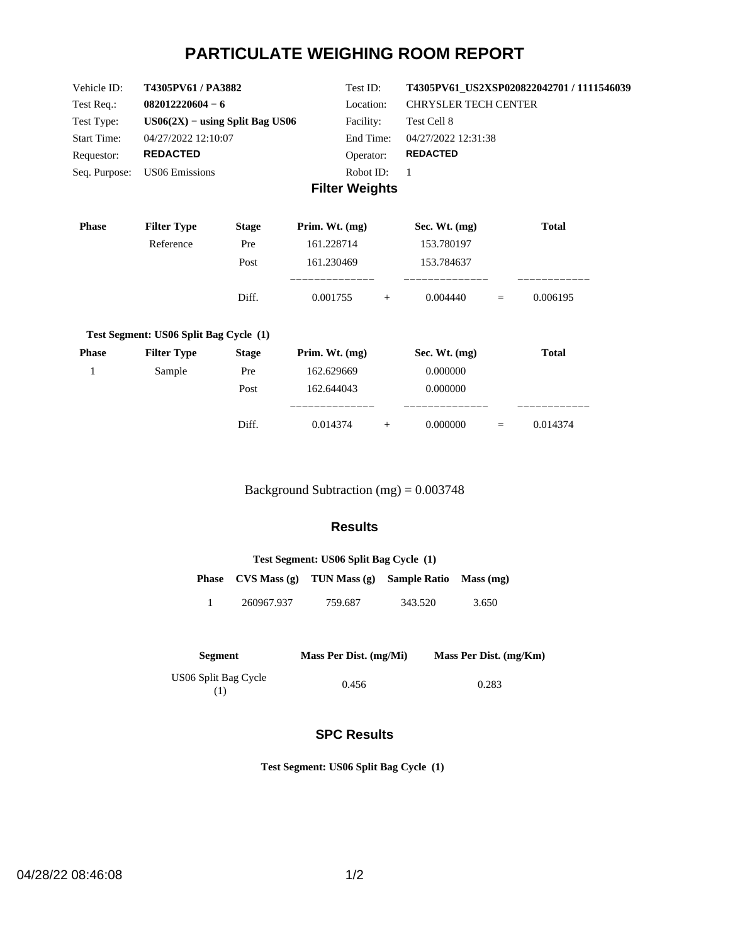# **PARTICULATE WEIGHING ROOM REPORT**

| Vehicle ID:        | <b>T4305PV61/PA3882</b>           | Test ID:              | T4305PV61 US2XSP020822042701 / 1111546039 |
|--------------------|-----------------------------------|-----------------------|-------------------------------------------|
| Test Req.:         | $082012220604 - 6$                | Location:             | <b>CHRYSLER TECH CENTER</b>               |
| Test Type:         | $US06(2X) - using Split Bag US06$ | Facility:             | Test Cell 8                               |
| <b>Start Time:</b> | 04/27/2022 12:10:07               | End Time:             | 04/27/2022 12:31:38                       |
| Requestor:         | <b>REDACTED</b>                   | Operator:             | <b>REDACTED</b>                           |
| Seq. Purpose:      | US06 Emissions                    | Robot ID:             |                                           |
|                    |                                   | <b>Filter Weights</b> |                                           |

| <b>Phase</b> | <b>Filter Type</b>                     | <b>Stage</b> | Prim. Wt. $(mg)$     |     | Sec. Wt. $(mg)$ |     | <b>Total</b> |
|--------------|----------------------------------------|--------------|----------------------|-----|-----------------|-----|--------------|
|              | Reference                              | Pre          | 161.228714           |     | 153.780197      |     |              |
|              |                                        | Post         | 161.230469           |     | 153.784637      |     |              |
|              |                                        | Diff.        | ________<br>0.001755 | $+$ | 0.004440        | $=$ | 0.006195     |
|              | Test Segment: US06 Split Bag Cycle (1) |              |                      |     |                 |     |              |
| <b>Phase</b> | <b>Filter Type</b>                     | <b>Stage</b> | Prim. Wt. $(mg)$     |     | Sec. Wt. (mg)   |     | <b>Total</b> |
| 1            | Sample                                 | Pre          | 162.629669           |     | 0.000000        |     |              |
|              |                                        | Post         | 162.644043           |     | 0.000000        |     |              |
|              |                                        | Diff.        | 0.014374             | $+$ | 0.000000        | $=$ | 0.014374     |

Background Subtraction (mg) = 0.003748

## **Results**

| Test Segment: US06 Split Bag Cycle (1) |                                    |         |                        |       |  |  |
|----------------------------------------|------------------------------------|---------|------------------------|-------|--|--|
|                                        | Phase $CVS Mass(g)$ TUN Mass $(g)$ |         | Sample Ratio Mass (mg) |       |  |  |
|                                        | 260967.937                         | 759.687 | 343.520                | 3.650 |  |  |

| Segment                     | Mass Per Dist. (mg/Mi) | Mass Per Dist. (mg/Km) |
|-----------------------------|------------------------|------------------------|
| US06 Split Bag Cycle<br>(1) | 0.456                  | 0.283                  |

## **SPC Results**

**Test Segment: US06 Split Bag Cycle (1)**